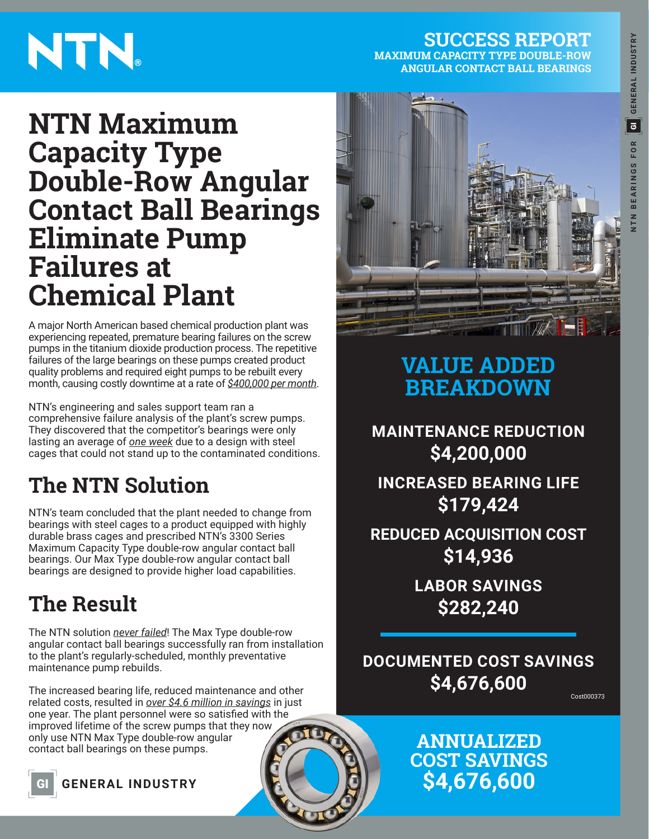# **NTN BEARINGS FOR GENERAL INDUSTRY** GI**GENERAL INDUSTRY BEARINGS FOR**  $rac{z}{z}$

# NTN.

**SUCCESS REPORT MAXIMUM CAPACITY TYPE DOUBLE-ROW ANGULAR CONTACT BALL BEARINGS**

## **NTN Maximum Capacity Type Double-Row Angular Contact Ball Bearings Eliminate Pump Failures at Chemical Plant**

A major North American based chemical production plant was experiencing repeated, premature bearing failures on the screw pumps in the titanium dioxide production process. The repetitive failures of the large bearings on these pumps created product quality problems and required eight pumps to be rebuilt every month, causing costly downtime at a rate of *\$400,000 per month*.

NTN's engineering and sales support team ran a comprehensive failure analysis of the plant's screw pumps. They discovered that the competitor's bearings were only lasting an average of *one week* due to a design with steel cages that could not stand up to the contaminated conditions.

## **The NTN Solution**

NTN's team concluded that the plant needed to change from bearings with steel cages to a product equipped with highly durable brass cages and prescribed NTN's 3300 Series Maximum Capacity Type double-row angular contact ball bearings. Our Max Type double-row angular contact ball bearings are designed to provide higher load capabilities.

## **The Result**

The NTN solution *never failed*! The Max Type double-row angular contact ball bearings successfully ran from installation to the plant's regularly-scheduled, monthly preventative maintenance pump rebuilds.

The increased bearing life, reduced maintenance and other related costs, resulted in *over \$4.6 million in savings* in just one year. The plant personnel were so satisfied with the improved lifetime of the screw pumps that they now only use NTN Max Type double-row angular contact ball bearings on these pumps.





#### **VALUE ADDED BREAKDOWN**

**MAINTENANCE REDUCTION \$4,200,000**

**INCREASED BEARING LIFE \$179,424**

**REDUCED ACQUISITION COST \$14,936**

> **LABOR SAVINGS \$282,240**

**DOCUMENTED COST SAVINGS \$4,676,600**

Cost000373

#### **ANNUALIZED COST SAVINGS \$4,676,600**